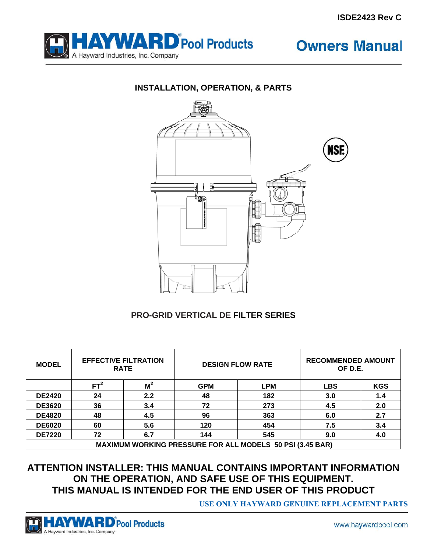

**Owners Manual** 





#### **PRO-GRID VERTICAL DE FILTER SERIES**

| <b>MODEL</b>  | <b>EFFECTIVE FILTRATION</b><br><b>RATE</b> |                | <b>DESIGN FLOW RATE</b> |                                                                  | <b>RECOMMENDED AMOUNT</b><br>OF D.E. |            |
|---------------|--------------------------------------------|----------------|-------------------------|------------------------------------------------------------------|--------------------------------------|------------|
|               | FT <sup>2</sup>                            | M <sup>2</sup> | <b>GPM</b>              | <b>LPM</b>                                                       | <b>LBS</b>                           | <b>KGS</b> |
| <b>DE2420</b> | 24                                         | 2.2            | 48                      | 182                                                              | 3.0                                  | 1.4        |
| <b>DE3620</b> | 36                                         | 3.4            | 72                      | 273                                                              | 4.5                                  | 2.0        |
| <b>DE4820</b> | 48                                         | 4.5            | 96                      | 363                                                              | 6.0                                  | 2.7        |
| <b>DE6020</b> | 60                                         | 5.6            | 120                     | 454                                                              | 7.5                                  | 3.4        |
| <b>DE7220</b> | 72                                         | 6.7            | 144                     | 545                                                              | 9.0                                  | 4.0        |
|               |                                            |                |                         | <b>MAXIMUM WORKING PRESSURE FOR ALL MODELS 50 PSI (3.45 BAR)</b> |                                      |            |

### **ATTENTION INSTALLER: THIS MANUAL CONTAINS IMPORTANT INFORMATION ON THE OPERATION, AND SAFE USE OF THIS EQUIPMENT. THIS MANUAL IS INTENDED FOR THE END USER OF THIS PRODUCT**

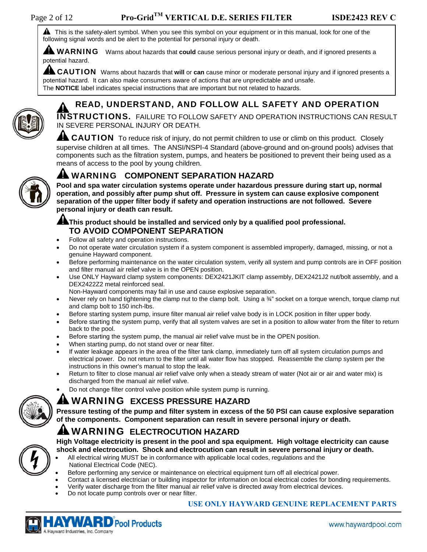**A** This is the safety-alert symbol. When you see this symbol on your equipment or in this manual, look for one of the following signal words and be alert to the potential for personal injury or death.

**A WARNING** Warns about hazards that **could** cause serious personal injury or death, and if ignored presents a potential hazard.

**AL CAUTION** Warns about hazards that will or can cause minor or moderate personal injury and if ignored presents a potential hazard. It can also make consumers aware of actions that are unpredictable and unsafe. The **NOTICE** label indicates special instructions that are important but not related to hazards.



#### READ, UNDERSTAND, AND FOLLOW ALL SAFETY AND OPERATION

INSTRUCTIONS. FAILURE TO FOLLOW SAFETY AND OPERATION INSTRUCTIONS CAN RESULT IN SEVERE PERSONAL INJURY OR DEATH.

**AL CAUTION** To reduce risk of injury, do not permit children to use or climb on this product. Closely supervise children at all times. The ANSI/NSPI-4 Standard (above-ground and on-ground pools) advises that components such as the filtration system, pumps, and heaters be positioned to prevent their being used as a means of access to the pool by young children.



#### WARNING **COMPONENT SEPARATION HAZARD**

**Pool and spa water circulation systems operate under hazardous pressure during start up, normal operation, and possibly after pump shut off. Pressure in system can cause explosive component separation of the upper filter body if safety and operation instructions are not followed. Severe personal injury or death can result.** 

#### **AL** This product should be installed and serviced only by a qualified pool professional. **TO AVOID COMPONENT SEPARATION**

- Follow all safety and operation instructions.
- Do not operate water circulation system if a system component is assembled improperly, damaged, missing, or not a genuine Hayward component.
- Before performing maintenance on the water circulation system, verify all system and pump controls are in OFF position and filter manual air relief valve is in the OPEN position.
- Use ONLY Hayward clamp system components: DEX2421JKIT clamp assembly, DEX2421J2 nut/bolt assembly, and a DEX2422Z2 metal reinforced seal.

Non-Hayward components may fail in use and cause explosive separation.

- Never rely on hand tightening the clamp nut to the clamp bolt. Using a ¾" socket on a torque wrench, torque clamp nut and clamp bolt to 150 inch-lbs.
- Before starting system pump, insure filter manual air relief valve body is in LOCK position in filter upper body.
- Before starting the system pump, verify that all system valves are set in a position to allow water from the filter to return back to the pool.
- Before starting the system pump, the manual air relief valve must be in the OPEN position.
- When starting pump, do not stand over or near filter.
- If water leakage appears in the area of the filter tank clamp, immediately turn off all system circulation pumps and electrical power. Do not return to the filter until all water flow has stopped. Reassemble the clamp system per the instructions in this owner's manual to stop the leak.
- Return to filter to close manual air relief valve only when a steady stream of water (Not air or air and water mix) is discharged from the manual air relief valve.
- Do not change filter control valve position while system pump is running.

#### WARNING **EXCESS PRESSURE HAZARD**

**Pressure testing of the pump and filter system in excess of the 50 PSI can cause explosive separation of the components. Component separation can result in severe personal injury or death.** 

### WARNING **ELECTROCUTION HAZARD**

**High Voltage electricity is present in the pool and spa equipment. High voltage electricity can cause shock and electrocution. Shock and electrocution can result in severe personal injury or death.** 

- All electrical wiring MUST be in conformance with applicable local codes, regulations and the National Electrical Code (NEC).
- Before performing any service or maintenance on electrical equipment turn off all electrical power.
	- Contact a licensed electrician or building inspector for information on local electrical codes for bonding requirements.
- Verify water discharge from the filter manual air relief valve is directed away from electrical devices.
- Do not locate pump controls over or near filter.



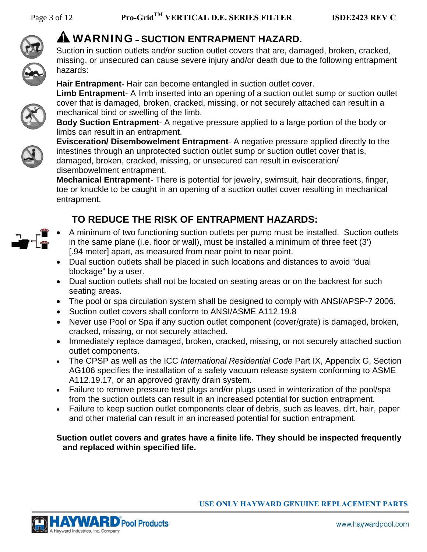

## WARNING **– SUCTION ENTRAPMENT HAZARD.**

Suction in suction outlets and/or suction outlet covers that are, damaged, broken, cracked, missing, or unsecured can cause severe injury and/or death due to the following entrapment hazards:

**Hair Entrapment**- Hair can become entangled in suction outlet cover.

**Limb Entrapment**- A limb inserted into an opening of a suction outlet sump or suction outlet cover that is damaged, broken, cracked, missing, or not securely attached can result in a mechanical bind or swelling of the limb.

**Body Suction Entrapment**- A negative pressure applied to a large portion of the body or limbs can result in an entrapment.



**Evisceration/ Disembowelment Entrapment**- A negative pressure applied directly to the intestines through an unprotected suction outlet sump or suction outlet cover that is, damaged, broken, cracked, missing, or unsecured can result in evisceration/ disembowelment entrapment.

**Mechanical Entrapment**- There is potential for jewelry, swimsuit, hair decorations, finger, toe or knuckle to be caught in an opening of a suction outlet cover resulting in mechanical entrapment.

## **TO REDUCE THE RISK OF ENTRAPMENT HAZARDS:**

- A minimum of two functioning suction outlets per pump must be installed. Suction outlets in the same plane (i.e. floor or wall), must be installed a minimum of three feet (3') [.94 meter] apart, as measured from near point to near point.
- Dual suction outlets shall be placed in such locations and distances to avoid "dual blockage" by a user.
- Dual suction outlets shall not be located on seating areas or on the backrest for such seating areas.
- The pool or spa circulation system shall be designed to comply with ANSI/APSP-7 2006.
- Suction outlet covers shall conform to ANSI/ASME A112.19.8
- Never use Pool or Spa if any suction outlet component (cover/grate) is damaged, broken, cracked, missing, or not securely attached.
- Immediately replace damaged, broken, cracked, missing, or not securely attached suction outlet components.
- The CPSP as well as the ICC *International Residential Code* Part IX, Appendix G, Section AG106 specifies the installation of a safety vacuum release system conforming to ASME A112.19.17, or an approved gravity drain system.
- Failure to remove pressure test plugs and/or plugs used in winterization of the pool/spa from the suction outlets can result in an increased potential for suction entrapment.
- Failure to keep suction outlet components clear of debris, such as leaves, dirt, hair, paper and other material can result in an increased potential for suction entrapment.

#### **Suction outlet covers and grates have a finite life. They should be inspected frequently and replaced within specified life.**

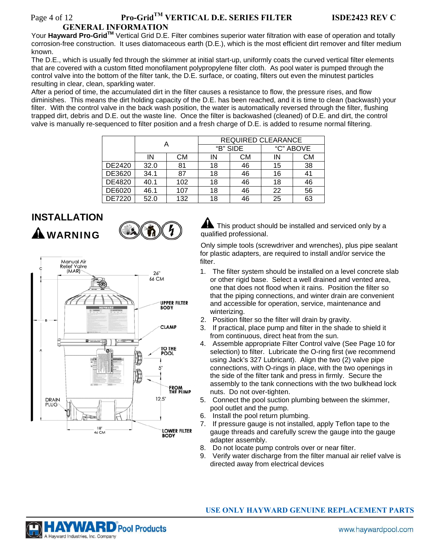#### Page 4 of 12 **Pro-Grid<sup>TM</sup> VERTICAL D.E. SERIES FILTER ISDE2423 REV C GENERAL INFORMATION**

Your **Hayward Pro-GridTM** Vertical Grid D.E. Filter combines superior water filtration with ease of operation and totally corrosion-free construction. It uses diatomaceous earth (D.E.), which is the most efficient dirt remover and filter medium known.

The D.E., which is usually fed through the skimmer at initial start-up, uniformly coats the curved vertical filter elements that are covered with a custom fitted monofilament polypropylene filter cloth. As pool water is pumped through the control valve into the bottom of the filter tank, the D.E. surface, or coating, filters out even the minutest particles resulting in clear, clean, sparkling water.

After a period of time, the accumulated dirt in the filter causes a resistance to flow, the pressure rises, and flow diminishes. This means the dirt holding capacity of the D.E. has been reached, and it is time to clean (backwash) your filter. With the control valve in the back wash position, the water is automatically reversed through the filter, flushing trapped dirt, debris and D.E. out the waste line. Once the filter is backwashed (cleaned) of D.E. and dirt, the control valve is manually re-sequenced to filter position and a fresh charge of D.E. is added to resume normal filtering.

|        |      |     | <b>REQUIRED CLEARANCE</b> |    |           |    |
|--------|------|-----|---------------------------|----|-----------|----|
|        |      |     | "B" SIDE                  |    | "C" ABOVE |    |
|        | IN   | CМ  | ΙN                        | CМ | IN        | СM |
| DE2420 | 32.0 | 81  | 18                        | 46 | 15        | 38 |
| DE3620 | 34.1 | 87  | 18                        | 46 | 16        | 41 |
| DE4820 | 40.1 | 102 | 18                        | 46 | 18        | 46 |
| DE6020 | 46.1 | 107 | 18                        | 46 | 22        | 56 |
| DE7220 | 52.0 | 132 | 18                        | 46 | 25        | 63 |

# **INSTALLATION**

**A** WARNING





This product should be installed and serviced only by a qualified professional.

Only simple tools (screwdriver and wrenches), plus pipe sealant for plastic adapters, are required to install and/or service the filter.

- 1. The filter system should be installed on a level concrete slab or other rigid base. Select a well drained and vented area, one that does not flood when it rains. Position the filter so that the piping connections, and winter drain are convenient and accessible for operation, service, maintenance and winterizing.
- 2. Position filter so the filter will drain by gravity.
- 3. If practical, place pump and filter in the shade to shield it from continuous, direct heat from the sun.
- 4. Assemble appropriate Filter Control valve (See Page 10 for selection) to filter. Lubricate the O-ring first (we recommend using Jack's 327 Lubricant). Align the two (2) valve pipe connections, with O-rings in place, with the two openings in the side of the filter tank and press in firmly. Secure the assembly to the tank connections with the two bulkhead lock nuts. Do not over-tighten.
- 5. Connect the pool suction plumbing between the skimmer, pool outlet and the pump.
- 6. Install the pool return plumbing.
- 7. If pressure gauge is not installed, apply Teflon tape to the gauge threads and carefully screw the gauge into the gauge adapter assembly.
- 8. Do not locate pump controls over or near filter.
- 9. Verify water discharge from the filter manual air relief valve is directed away from electrical devices

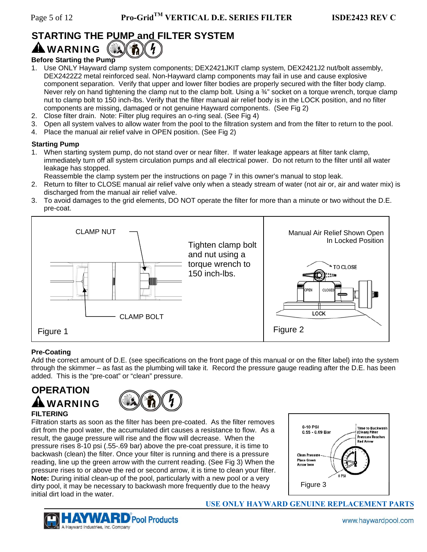## **STARTING THE PUMP and FILTER SYSTEM**

## **A WARNING**

#### **Before Starting the Pump**

- 1. Use ONLY Hayward clamp system components; DEX2421JKIT clamp system, DEX2421J2 nut/bolt assembly, DEX2422Z2 metal reinforced seal. Non-Hayward clamp components may fail in use and cause explosive component separation. Verify that upper and lower filter bodies are properly secured with the filter body clamp. Never rely on hand tightening the clamp nut to the clamp bolt. Using a ¾" socket on a torque wrench, torque clamp nut to clamp bolt to 150 inch-lbs. Verify that the filter manual air relief body is in the LOCK position, and no filter components are missing, damaged or not genuine Hayward components. (See Fig 2)
- 2. Close filter drain. Note: Filter plug requires an o-ring seal. (See Fig 4)
- 3. Open all system valves to allow water from the pool to the filtration system and from the filter to return to the pool.
- 4. Place the manual air relief valve in OPEN position. (See Fig 2)

#### **Starting Pump**

- 1. When starting system pump, do not stand over or near filter. If water leakage appears at filter tank clamp, immediately turn off all system circulation pumps and all electrical power. Do not return to the filter until all water leakage has stopped.
	- Reassemble the clamp system per the instructions on page 7 in this owner's manual to stop leak.
- 2. Return to filter to CLOSE manual air relief valve only when a steady stream of water (not air or, air and water mix) is discharged from the manual air relief valve.
- 3. To avoid damages to the grid elements, DO NOT operate the filter for more than a minute or two without the D.E. pre-coat.



#### **Pre-Coating**

Add the correct amount of D.E. (see specifications on the front page of this manual or on the filter label) into the system through the skimmer – as fast as the plumbing will take it. Record the pressure gauge reading after the D.E. has been added. This is the "pre-coat" or "clean" pressure.

## **OPERATION**  WARNING



#### **FILTERING**

Filtration starts as soon as the filter has been pre-coated. As the filter removes dirt from the pool water, the accumulated dirt causes a resistance to flow. As a result, the gauge pressure will rise and the flow will decrease. When the pressure rises 8-10 psi (.55-.69 bar) above the pre-coat pressure, it is time to backwash (clean) the filter. Once your filter is running and there is a pressure reading, line up the green arrow with the current reading. (See Fig 3) When the pressure rises to or above the red or second arrow, it is time to clean your filter. **Note:** During initial clean-up of the pool, particularly with a new pool or a very dirty pool, it may be necessary to backwash more frequently due to the heavy initial dirt load in the water.



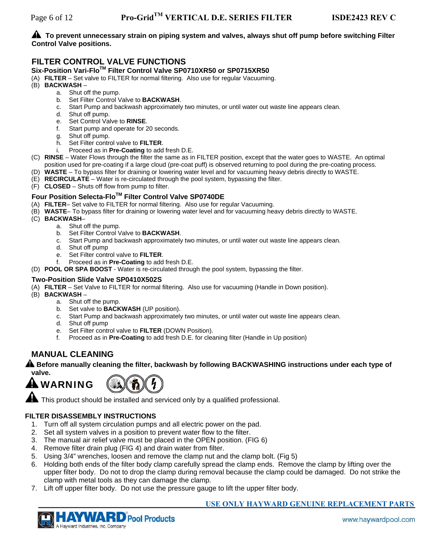#### **A** To prevent unnecessary strain on piping system and valves, always shut off pump before switching Filter **Control Valve positions.**

#### **FILTER CONTROL VALVE FUNCTIONS**

#### **Six-Position Vari-FloTM Filter Control Valve SP0710XR50 or SP0715XR50**

- (A) **FILTER** Set valve to FILTER for normal filtering. Also use for regular Vacuuming.
- (B) **BACKWASH**
	- a. Shut off the pump.
	- b. Set Filter Control Valve to **BACKWASH**.
	- c. Start Pump and backwash approximately two minutes, or until water out waste line appears clean.
	- d. Shut off pump.
	- e. Set Control Valve to **RINSE**.
	- f. Start pump and operate for 20 seconds.
	- g. Shut off pump.
	- h. Set Filter control valve to **FILTER**.
	- i. Proceed as in **Pre-Coating** to add fresh D.E.
- (C) **RINSE** Water Flows through the filter the same as in FILTER position, except that the water goes to WASTE. An optimal position used for pre-coating if a large cloud (pre-coat puff) is observed returning to pool during the pre-coating process.
- (D) **WASTE** To bypass filter for draining or lowering water level and for vacuuming heavy debris directly to WASTE.
- (E) **RECIRCULATE** Water is re-circulated through the pool system, bypassing the filter.
- (F) **CLOSED** Shuts off flow from pump to filter.

#### **Four Position Selecta-FloTM Filter Control Valve SP0740DE**

- (A) **FILTER** Set valve to FILTER for normal filtering. Also use for regular Vacuuming.
- (B) **WASTE** To bypass filter for draining or lowering water level and for vacuuming heavy debris directly to WASTE.
- (C) **BACKWASH**
	- a. Shut off the pump.
	- b. Set Filter Control Valve to **BACKWASH**.
	- c. Start Pump and backwash approximately two minutes, or until water out waste line appears clean.
	- d. Shut off pump
	- e. Set Filter control valve to **FILTER**.
	- f. Proceed as in **Pre-Coating** to add fresh D.E.
- (D) **POOL OR SPA BOOST** Water is re-circulated through the pool system, bypassing the filter.

#### **Two-Position Slide Valve SP0410X502S**

- (A) **FILTER** Set Valve to FILTER for normal filtering. Also use for vacuuming (Handle in Down position).
- (B) **BACKWASH**
	- a. Shut off the pump.
	- b. Set valve to **BACKWASH** (UP position).
	- c. Start Pump and backwash approximately two minutes, or until water out waste line appears clean.
	- d. Shut off pump
	- e. Set Filter control valve to **FILTER** (DOWN Position).
	- f. Proceed as in **Pre-Coating** to add fresh D.E. for cleaning filter (Handle in Up position)

#### **MANUAL CLEANING**

#### **A** Before manually cleaning the filter, backwash by following BACKWASHING instructions under each type of **valve.**

## WARNING



This product should be installed and serviced only by a qualified professional.

#### **FILTER DISASSEMBLY INSTRUCTIONS**

- 1. Turn off all system circulation pumps and all electric power on the pad.
- 2. Set all system valves in a position to prevent water flow to the filter.
- 3. The manual air relief valve must be placed in the OPEN position. (FIG 6)
- 4. Remove filter drain plug (FIG 4) and drain water from filter.
- 5. Using 3/4" wrenches, loosen and remove the clamp nut and the clamp bolt. (Fig 5)
- 6. Holding both ends of the filter body clamp carefully spread the clamp ends. Remove the clamp by lifting over the upper filter body. Do not to drop the clamp during removal because the clamp could be damaged. Do not strike the clamp with metal tools as they can damage the clamp.
- 7. Lift off upper filter body. Do not use the pressure gauge to lift the upper filter body.

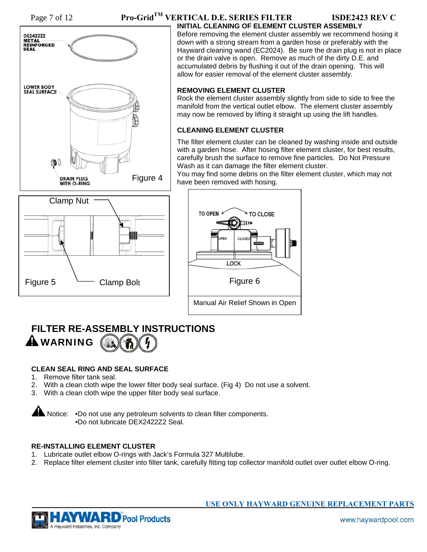

#### Page 7 of 12 **Pro-Grid<sup>TM</sup> VERTICAL D.E. SERIES FILTER ISDE2423 REV C INITIAL CLEANING OF ELEMENT CLUSTER ASSEMBLY**

Before removing the element cluster assembly we recommend hosing it down with a strong stream from a garden hose or preferably with the Hayward cleaning wand (EC2024). Be sure the drain plug is not in place or the drain valve is open. Remove as much of the dirty D.E. and accumulated debris by flushing it out of the drain opening. This will allow for easier removal of the element cluster assembly.

#### **REMOVING ELEMENT CLUSTER**

Rock the element cluster assembly slightly from side to side to free the manifold from the vertical outlet elbow. The element cluster assembly may now be removed by lifting it straight up using the lift handles.

#### **CLEANING ELEMENT CLUSTER**

The filter element cluster can be cleaned by washing inside and outside with a garden hose. After hosing filter element cluster, for best results, carefully brush the surface to remove fine particles. Do Not Pressure Wash as it can damage the filter element cluster.

You may find some debris on the filter element cluster, which may not have been removed with hosing.





## **FILTER RE-ASSEMBLY INSTRUCTIONS A** WARNING

#### **CLEAN SEAL RING AND SEAL SURFACE**

- 1. Remove filter tank seal.
- 2. With a clean cloth wipe the lower filter body seal surface. (Fig 4) Do not use a solvent.
- 3. With a clean cloth wipe the upper filter body seal surface.

**Notice:** •Do not use any petroleum solvents to clean filter components. •Do not lubricate DEX2422Z2 Seal.

#### **RE-INSTALLING ELEMENT CLUSTER**

- 1. Lubricate outlet elbow O-rings with Jack's Formula 327 Multilube.
- 2. Replace filter element cluster into filter tank, carefully fitting top collector manifold outlet over outlet elbow O-ring.

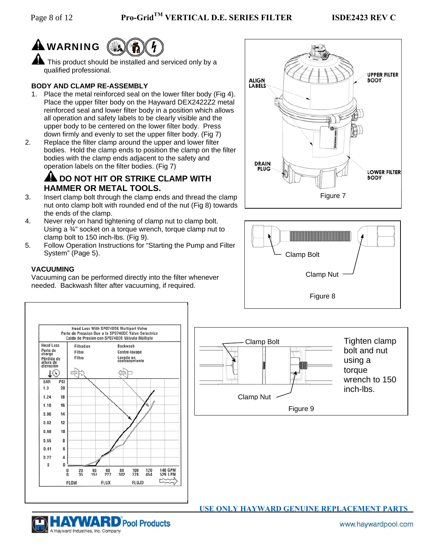# **A** WARNING

**A** This product should be installed and serviced only by a qualified professional.

#### **BODY AND CLAMP RE-ASSEMBLY**

- 1. Place the metal reinforced seal on the lower filter body (Fig 4). Place the upper filter body on the Hayward DEX2422Z2 metal reinforced seal and lower filter body in a position which allows all operation and safety labels to be clearly visible and the upper body to be centered on the lower filter body. Press down firmly and evenly to set the upper filter body. (Fig 7)
- 2. Replace the filter clamp around the upper and lower filter bodies. Hold the clamp ends to position the clamp on the filter bodies with the clamp ends adjacent to the safety and operation labels on the filter bodies. (Fig 7)

#### **AL DO NOT HIT OR STRIKE CLAMP WITH HAMMER OR METAL TOOLS.**

- 3. Insert clamp bolt through the clamp ends and thread the clamp nut onto clamp bolt with rounded end of the nut (Fig 8) towards the ends of the clamp.
- 4. Never rely on hand tightening of clamp nut to clamp bolt. Using a ¾" socket on a torque wrench, torque clamp nut to clamp bolt to 150 inch-lbs. (Fig 9).
- 5. Follow Operation Instructions for "Starting the Pump and Filter System" (Page 5).

#### **VACUUMING**

Hayward Industries, Inc. Company

Vacuuming can be performed directly into the filter whenever needed. Backwash filter after vacuuming, if required.







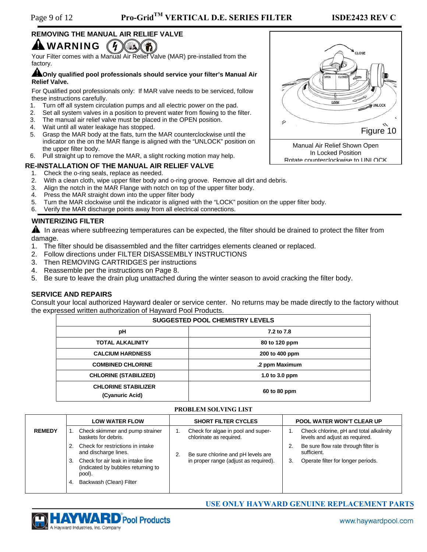#### **REMOVING THE MANUAL AIR RELIEF VALVE A** WARNING  $\frac{1}{2}$

Your Filter comes with a Manual Air Relief Valve (MAR) pre-installed from the factory.

#### **ALOnly qualified pool professionals should service your filter's Manual Air Relief Valve.**

For Qualified pool professionals only: If MAR valve needs to be serviced, follow these instructions carefully.

- 1. Turn off all system circulation pumps and all electric power on the pad.
- 2. Set all system valves in a position to prevent water from flowing to the filter.
- 3. The manual air relief valve must be placed in the OPEN position.
- 4. Wait until all water leakage has stopped.
- 5. Grasp the MAR body at the flats, turn the MAR counterclockwise until the indicator on the on the MAR flange is aligned with the "UNLOCK" position on the upper filter body.
- 6. Pull straight up to remove the MAR, a slight rocking motion may help.

#### **RE-INSTALLATION OF THE MANUAL AIR RELIEF VALVE**

- 1. Check the o-ring seals, replace as needed.
- 2. With a clean cloth, wipe upper filter body and o-ring groove. Remove all dirt and debris.
- 3. Align the notch in the MAR Flange with notch on top of the upper filter body.
- 4. Press the MAR straight down into the upper filter body
- 5. Turn the MAR clockwise until the indicator is aligned with the "LOCK" position on the upper filter body.
- 6. Verify the MAR discharge points away from all electrical connections.

#### **WINTERIZING FILTER**

**A** In areas where subfreezing temperatures can be expected, the filter should be drained to protect the filter from damage.

- 1. The filter should be disassembled and the filter cartridges elements cleaned or replaced.
- 2. Follow directions under FILTER DISASSEMBLY INSTRUCTIONS
- 3. Then REMOVING CARTRIDGES per instructions
- 4. Reassemble per the instructions on Page 8.
- 5. Be sure to leave the drain plug unattached during the winter season to avoid cracking the filter body.

#### **SERVICE AND REPAIRS**

Consult your local authorized Hayward dealer or service center. No returns may be made directly to the factory without the expressed written authorization of Hayward Pool Products.

| <b>SUGGESTED POOL CHEMISTRY LEVELS</b>        |                |  |
|-----------------------------------------------|----------------|--|
| рH                                            | 7.2 to 7.8     |  |
| <b>TOTAL ALKALINITY</b>                       | 80 to 120 ppm  |  |
| <b>CALCIUM HARDNESS</b>                       | 200 to 400 ppm |  |
| <b>COMBINED CHLORINE</b>                      | .2 ppm Maximum |  |
| <b>CHLORINE (STABILIZED)</b>                  | 1.0 to 3.0 ppm |  |
| <b>CHLORINE STABILIZER</b><br>(Cyanuric Acid) | 60 to 80 ppm   |  |

#### **PROBLEM SOLVING LIST**

|               | <b>LOW WATER FLOW</b>                                                             | <b>SHORT FILTER CYCLES</b>                                    | <b>POOL WATER WON'T CLEAR UP</b>                                          |
|---------------|-----------------------------------------------------------------------------------|---------------------------------------------------------------|---------------------------------------------------------------------------|
| <b>REMEDY</b> | Check skimmer and pump strainer<br>baskets for debris.                            | Check for algae in pool and super-<br>chlorinate as required. | Check chlorine, pH and total alkalinity<br>levels and adjust as required. |
|               | Check for restrictions in intake<br>and discharge lines.                          | Be sure chlorine and pH levels are<br>2.                      | Be sure flow rate through filter is<br>sufficient.                        |
|               | Check for air leak in intake line<br>(indicated by bubbles returning to<br>pool). | in proper range (adjust as required).                         | Operate filter for longer periods.<br>3.                                  |
|               | Backwash (Clean) Filter<br>4.                                                     |                                                               |                                                                           |



## CLOSE LOOK **UNLOC** 0 ◇ Figure 10 Manual Air Relief Shown Open In Locked Position Rotate counterclockwise to UNLOCK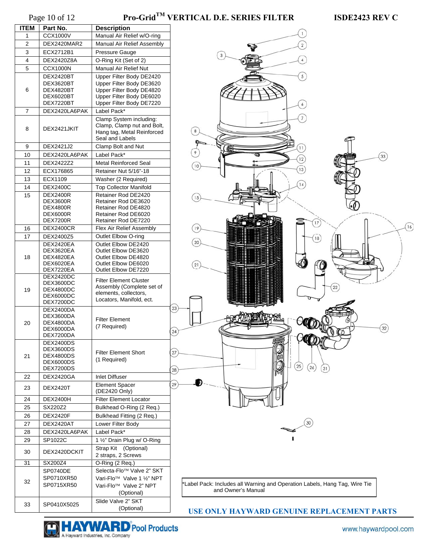| <b>ITEM</b> | Part No.                            | <b>Description</b>                                    |    |
|-------------|-------------------------------------|-------------------------------------------------------|----|
| 1           | CCX1000V                            | Manual Air Relief w/O-ring                            |    |
| 2           | DEX2420MAR2                         | Manual Air Relief Assembly                            |    |
| 3           | ECX2712B1                           | Pressure Gauge                                        |    |
| 4           | DEX2420Z8A                          | O-Ring Kit (Set of 2)                                 |    |
| 5           | <b>CCX1000N</b>                     | <b>Manual Air Relief Nut</b>                          |    |
|             | DEX2420BT                           | Upper Filter Body DE2420                              |    |
|             | DEX3620BT                           | Upper Filter Body DE3620                              |    |
| 6           | DEX4820BT                           | Upper Filter Body DE4820                              |    |
|             | DEX6020BT                           | Upper Filter Body DE6020                              |    |
|             | DEX7220BT                           | Upper Filter Body DE7220                              |    |
| 7           | DEX2420LA6PAK                       | Label Pack*                                           |    |
|             |                                     | Clamp System including:<br>Clamp, Clamp nut and Bolt, |    |
| 8           | DEX2421JKIT                         | Hang tag, Metal Reinforced                            |    |
|             |                                     | Seal and Labels                                       |    |
| 9           | DEX2421J2                           | Clamp Bolt and Nut                                    |    |
| 10          | DEX2420LA6PAK                       | Label Pack*                                           |    |
| 11          | DEX2422Z2                           | <b>Metal Reinforced Seal</b>                          |    |
| 12          | ECX176865                           | Retainer Nut 5/16"-18                                 |    |
| 13          | ECX1109                             | Washer (2 Required)                                   |    |
| 14          | <b>DEX2400C</b>                     | <b>Top Collector Manifold</b>                         |    |
| 15          | <b>DEX2400R</b>                     | Retainer Rod DE2420                                   |    |
|             | <b>DEX3600R</b>                     | Retainer Rod DE3620                                   |    |
|             | <b>DEX4800R</b>                     | Retainer Rod DE4820                                   |    |
|             | <b>DEX6000R</b>                     | Retainer Rod DE6020                                   |    |
|             | <b>DEX7200R</b><br><b>DEX2400CR</b> | Retainer Rod DE7220                                   |    |
| 16          |                                     | Flex Air Relief Assembly                              |    |
| 17          | DEX2400Z5                           | Outlet Elbow O-ring                                   |    |
|             | DEX2420EA<br>DEX3620EA              | Outlet Elbow DE2420<br>Outlet Elbow DE3620            |    |
| 18          | DEX4820EA                           | Outlet Elbow DE4820                                   |    |
|             | DEX6020EA                           | Outlet Elbow DE6020                                   |    |
|             | DEX7220EA                           | Outlet Elbow DE7220                                   |    |
|             | DEX2420DC<br>DEX3600DC              | <b>Filter Element Cluster</b>                         |    |
| 19          | DEX4800DC                           | Assembly (Complete set of                             |    |
|             | DEX6000DC                           | elements, collectors,                                 |    |
|             | DEX7200DC                           | Locators, Manifold, ect.                              |    |
|             | DEX2400DA                           |                                                       | 23 |
| 20          | DEX3600DA<br>DEX4800DA              | <b>Filter Element</b>                                 |    |
|             | DEX6000DA                           | (7 Required)                                          |    |
|             | DEX7200DA                           |                                                       | 24 |
|             | DEX2400DS                           |                                                       |    |
|             | DEX3600DS                           | <b>Filter Element Short</b>                           | 27 |
| 21          | DEX4800DS<br>DEX6000DS              | (1 Required)                                          |    |
|             | DEX7200DS                           |                                                       | 28 |
| 22          | <b>DEX2420GA</b>                    | <b>Inlet Diffuser</b>                                 |    |
|             |                                     | <b>Element Spacer</b>                                 | 29 |
| 23          | <b>DEX2420T</b>                     | (DE2420 Only)                                         |    |
| 24          | <b>DEX2400H</b>                     | <b>Filter Element Locator</b>                         |    |
| 25          | SX220Z2                             | Bulkhead O-Ring (2 Req.)                              |    |
| 26          | <b>DEX2420F</b>                     | Bulkhead Fitting (2 Req.)                             |    |
| 27          | DEX2420AT                           | Lower Filter Body                                     |    |
| 28          | DEX2420LA6PAK                       | Label Pack*                                           |    |
| 29          | SP1022C                             | 1 1/2" Drain Plug w/ O-Ring                           |    |
|             |                                     | Strap Kit (Optional)                                  |    |
| 30          | DEX2420DCKIT                        | 2 straps, 2 Screws                                    |    |
| 31          | SX200Z4                             | O-Ring (2 Req.)                                       |    |
|             | SP0740DE                            | Selecta-Flo <sup>™</sup> Valve 2" SKT                 |    |
|             | SP0710XR50                          | Vari-Flo™ Valve 1 1/2" NPT                            |    |
| 32          | SP0715XR50                          | Vari-Flo <sup>™</sup> Valve 2" NPT                    |    |
|             |                                     | (Optional)                                            |    |
|             |                                     | Slide Valve 2" SKT                                    |    |
| 33          | SP0410X5025                         | (Optional)                                            |    |



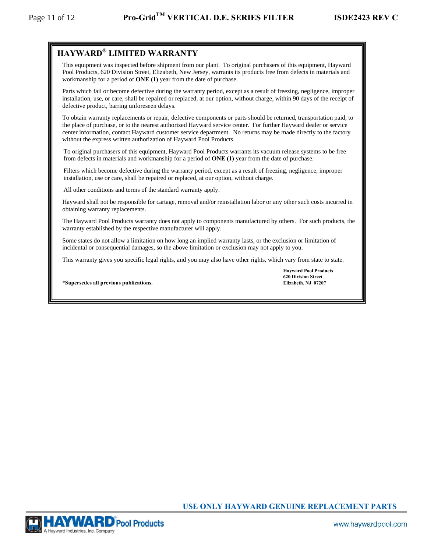## **HAYWARD® LIMITED WARRANTY**

This equipment was inspected before shipment from our plant. To original purchasers of this equipment, Hayward Pool Products, 620 Division Street, Elizabeth, New Jersey, warrants its products free from defects in materials and workmanship for a period of **ONE (1)** year from the date of purchase.

Parts which fail or become defective during the warranty period, except as a result of freezing, negligence, improper installation, use, or care, shall be repaired or replaced, at our option, without charge, within 90 days of the receipt of defective product, barring unforeseen delays.

To obtain warranty replacements or repair, defective components or parts should be returned, transportation paid, to the place of purchase, or to the nearest authorized Hayward service center. For further Hayward dealer or service center information, contact Hayward customer service department. No returns may be made directly to the factory without the express written authorization of Hayward Pool Products.

To original purchasers of this equipment, Hayward Pool Products warrants its vacuum release systems to be free from defects in materials and workmanship for a period of **ONE (1)** year from the date of purchase.

Filters which become defective during the warranty period, except as a result of freezing, negligence, improper installation, use or care, shall be repaired or replaced, at our option, without charge.

All other conditions and terms of the standard warranty apply.

Hayward shall not be responsible for cartage, removal and/or reinstallation labor or any other such costs incurred in obtaining warranty replacements.

The Hayward Pool Products warranty does not apply to components manufactured by others. For such products, the warranty established by the respective manufacturer will apply.

Some states do not allow a limitation on how long an implied warranty lasts, or the exclusion or limitation of incidental or consequential damages, so the above limitation or exclusion may not apply to you.

This warranty gives you specific legal rights, and you may also have other rights, which vary from state to state.

 **Hayward Pool Products 620 Division Street** 

\*Supersedes all previous publications.